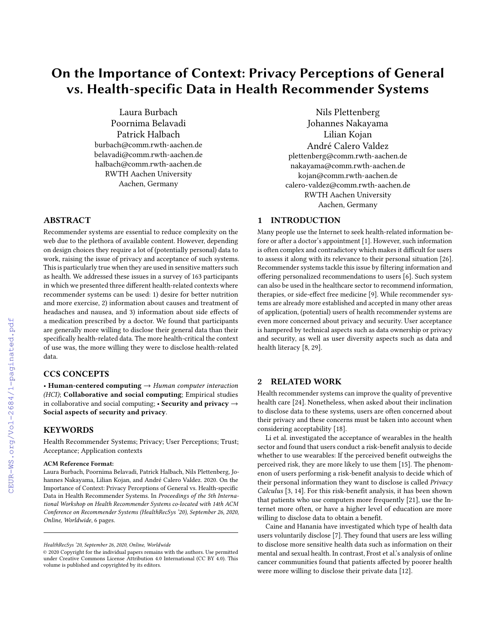# On the Importance of Context: Privacy Perceptions of General vs. Health-specific Data in Health Recommender Systems

Laura Burbach Poornima Belavadi Patrick Halbach burbach@comm.rwth-aachen.de belavadi@comm.rwth-aachen.de halbach@comm.rwth-aachen.de RWTH Aachen University Aachen, Germany

# ABSTRACT

Recommender systems are essential to reduce complexity on the web due to the plethora of available content. However, depending on design choices they require a lot of (potentially personal) data to work, raising the issue of privacy and acceptance of such systems. This is particularly true when they are used in sensitive matters such as health. We addressed these issues in a survey of 163 participants in which we presented three different health-related contexts where recommender systems can be used: 1) desire for better nutrition and more exercise, 2) information about causes and treatment of headaches and nausea, and 3) information about side effects of a medication prescribed by a doctor. We found that participants are generally more willing to disclose their general data than their specifically health-related data. The more health-critical the context of use was, the more willing they were to disclose health-related data.

# CCS CONCEPTS

• Human-centered computing  $\rightarrow$  Human computer interaction (HCI); Collaborative and social computing; Empirical studies in collaborative and social computing; • Security and privacy  $\rightarrow$ Social aspects of security and privacy.

### **KEYWORDS**

Health Recommender Systems; Privacy; User Perceptions; Trust; Acceptance; Application contexts

#### ACM Reference Format:

Laura Burbach, Poornima Belavadi, Patrick Halbach, Nils Plettenberg, Johannes Nakayama, Lilian Kojan, and André Calero Valdez. 2020. On the Importance of Context: Privacy Perceptions of General vs. Health-specific Data in Health Recommender Systems. In Proceedings of the 5th International Workshop on Health Recommender Systems co-located with 14th ACM Conference on Recommender Systems (HealthRecSys '20), September 26, 2020, Online, Worldwide, [6](#page--1-0) pages.

Nils Plettenberg Johannes Nakayama Lilian Kojan André Calero Valdez plettenberg@comm.rwth-aachen.de nakayama@comm.rwth-aachen.de kojan@comm.rwth-aachen.de calero-valdez@comm.rwth-aachen.de RWTH Aachen University Aachen, Germany

# 1 INTRODUCTION

Many people use the Internet to seek health-related information before or after a doctor's appointment [\[1\]](#page--1-1). However, such information is often complex and contradictory which makes it difficult for users to assess it along with its relevance to their personal situation [\[26\]](#page--1-2). Recommender systems tackle this issue by filtering information and offering personalized recommendations to users [\[6\]](#page--1-3). Such system can also be used in the healthcare sector to recommend information, therapies, or side-effect free medicine [\[9\]](#page--1-4). While recommender systems are already more established and accepted in many other areas of application, (potential) users of health recommender systems are even more concerned about privacy and security. User acceptance is hampered by technical aspects such as data ownership or privacy and security, as well as user diversity aspects such as data and health literacy [\[8,](#page--1-5) [29\]](#page--1-6).

# 2 RELATED WORK

Health recommender systems can improve the quality of preventive health care [\[24\]](#page--1-7). Nonetheless, when asked about their inclination to disclose data to these systems, users are often concerned about their privacy and these concerns must be taken into account when considering acceptability [\[18\]](#page--1-8).

Li et al. investigated the acceptance of wearables in the health sector and found that users conduct a risk-benefit analysis to decide whether to use wearables: If the perceived benefit outweighs the perceived risk, they are more likely to use them [\[15\]](#page--1-9). The phenomenon of users performing a risk-benefit analysis to decide which of their personal information they want to disclose is called Privacy Calculus [\[3,](#page--1-10) [14\]](#page--1-11). For this risk-benefit analysis, it has been shown that patients who use computers more frequently [\[21\]](#page--1-12), use the Internet more often, or have a higher level of education are more willing to disclose data to obtain a benefit.

Caine and Hanania have investigated which type of health data users voluntarily disclose [\[7\]](#page--1-13). They found that users are less willing to disclose more sensitive health data such as information on their mental and sexual health. In contrast, Frost et al.'s analysis of online cancer communities found that patients affected by poorer health were more willing to disclose their private data [\[12\]](#page--1-14).

HealthRecSys '20, September 26, 2020, Online, Worldwide

<sup>©</sup> 2020 Copyright for the individual papers remains with the authors. Use permitted under Creative Commons License Attribution 4.0 International (CC BY 4.0). This volume is published and copyrighted by its editors.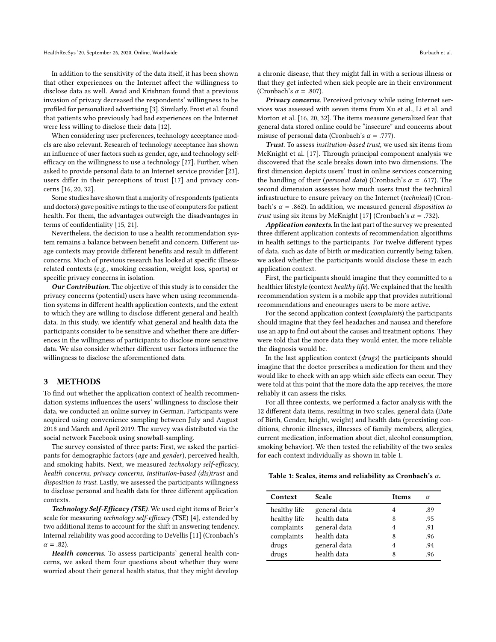In addition to the sensitivity of the data itself, it has been shown that other experiences on the Internet affect the willingness to disclose data as well. Awad and Krishnan found that a previous invasion of privacy decreased the respondents' willingness to be profiled for personalized advertising [\[3\]](#page-4-0). Similarly, Frost et al. found that patients who previously had bad experiences on the Internet were less willing to disclose their data [\[12\]](#page-4-1).

When considering user preferences, technology acceptance models are also relevant. Research of technology acceptance has shown an influence of user factors such as gender, age, and technology selfefficacy on the willingness to use a technology [\[27\]](#page-4-2). Further, when asked to provide personal data to an Internet service provider [\[23\]](#page-4-3), users differ in their perceptions of trust [\[17\]](#page-4-4) and privacy concerns [\[16,](#page-4-5) [20,](#page-4-6) [32\]](#page-5-0).

Some studies have shown that a majority of respondents (patients and doctors) gave positive ratings to the use of computers for patient health. For them, the advantages outweigh the disadvantages in terms of confidentiality [\[15,](#page-4-7) [21\]](#page-4-8).

Nevertheless, the decision to use a health recommendation system remains a balance between benefit and concern. Different usage contexts may provide different benefits and result in different concerns. Much of previous research has looked at specific illnessrelated contexts (e.g., smoking cessation, weight loss, sports) or specific privacy concerns in isolation.

Our Contribution. The objective of this study is to consider the privacy concerns (potential) users have when using recommendation systems in different health application contexts, and the extent to which they are willing to disclose different general and health data. In this study, we identify what general and health data the participants consider to be sensitive and whether there are differences in the willingness of participants to disclose more sensitive data. We also consider whether different user factors influence the willingness to disclose the aforementioned data.

#### <span id="page-1-1"></span>3 METHODS

To find out whether the application context of health recommendation systems influences the users' willingness to disclose their data, we conducted an online survey in German. Participants were acquired using convenience sampling between July and August 2018 and March and April 2019. The survey was distributed via the social network Facebook using snowball-sampling.

The survey consisted of three parts: First, we asked the participants for demographic factors (age and gender), perceived health, and smoking habits. Next, we measured technology self-efficacy, health concerns, privacy concerns, institution-based (dis)trust and disposition to trust. Lastly, we assessed the participants willingness to disclose personal and health data for three different application contexts.

Technology Self-Efficacy (TSE). We used eight items of Beier's scale for measuring technology self-efficacy (TSE) [\[4\]](#page-4-9), extended by two additional items to account for the shift in answering tendency. Internal reliability was good according to DeVellis [\[11\]](#page-4-10) (Cronbach's  $\alpha = .82$ ).

Health concerns. To assess participants' general health concerns, we asked them four questions about whether they were worried about their general health status, that they might develop

a chronic disease, that they might fall in with a serious illness or that they get infected when sick people are in their environment (Cronbach's  $\alpha$  = .807).

Privacy concerns. Perceived privacy while using Internet services was assessed with seven items from Xu et al., Li et al. and Morton et al. [\[16,](#page-4-5) [20,](#page-4-6) [32\]](#page-5-0). The items measure generalized fear that general data stored online could be "insecure" and concerns about misuse of personal data (Cronbach's  $\alpha$  = .777).

Trust. To assess institution-based trust, we used six items from McKnight et al. [\[17\]](#page-4-4). Through principal component analysis we discovered that the scale breaks down into two dimensions. The first dimension depicts users' trust in online services concerning the handling of their (*personal data*) (Cronbach's  $\alpha = .617$ ). The second dimension assesses how much users trust the technical infrastructure to ensure privacy on the Internet (technical) (Cronbach's  $\alpha$  = .862). In addition, we measured general *disposition to trust* using six items by McKnight [\[17\]](#page-4-4) (Cronbach's  $\alpha$  = .732).

Application contexts. In the last part of the survey we presented three different application contexts of recommendation algorithms in health settings to the participants. For twelve different types of data, such as date of birth or medication currently being taken, we asked whether the participants would disclose these in each application context.

First, the participants should imagine that they committed to a healthier lifestyle (context healthy life). We explained that the health recommendation system is a mobile app that provides nutritional recommendations and encourages users to be more active.

For the second application context (complaints) the participants should imagine that they feel headaches and nausea and therefore use an app to find out about the causes and treatment options. They were told that the more data they would enter, the more reliable the diagnosis would be.

In the last application context (drugs) the participants should imagine that the doctor prescribes a medication for them and they would like to check with an app which side effects can occur. They were told at this point that the more data the app receives, the more reliably it can assess the risks.

For all three contexts, we performed a factor analysis with the 12 different data items, resulting in two scales, general data (Date of Birth, Gender, height, weight) and health data (preexisting conditions, chronic illnesses, illnesses of family members, allergies, current medication, information about diet, alcohol consumption, smoking behavior). We then tested the reliability of the two scales for each context individually as shown in table [1.](#page-1-0)

#### <span id="page-1-0"></span>Table 1: Scales, items and reliability as Cronbach's  $\alpha$ .

| Context      | <b>Scale</b> | <b>Items</b>   |     |
|--------------|--------------|----------------|-----|
| healthy life | general data | 4              | .89 |
| healthy life | health data  | 8              | .95 |
| complaints   | general data | 4              | .91 |
| complaints   | health data  | 8              | .96 |
| drugs        | general data | $\overline{4}$ | .94 |
| drugs        | health data  | 8              | .96 |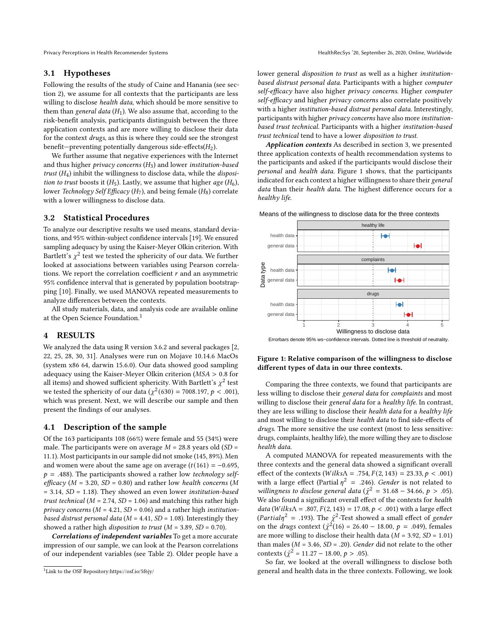### 3.1 Hypotheses

Following the results of the study of Caine and Hanania (see section [2\)](#page--1-15), we assume for all contexts that the participants are less willing to disclose health data, which should be more sensitive to them than general data  $(H_1)$ . We also assume that, according to the risk-benefit analysis, participants distinguish between the three application contexts and are more willing to disclose their data for the context drugs, as this is where they could see the strongest benefit—preventing potentially dangerous side-effects( $H_2$ ).

We further assume that negative experiences with the Internet and thus higher privacy concerns  $(H_3)$  and lower institution-based trust  $(H_4)$  inhibit the willingness to disclose data, while the *disposi*tion to trust boosts it  $(H_5)$ . Lastly, we assume that higher age  $(H_6)$ , lower Technology Self Efficacy (H<sub>7</sub>), and being female (H<sub>8</sub>) correlate with a lower willingness to disclose data.

#### 3.2 Statistical Procedures

To analyze our descriptive results we used means, standard deviations, and 95% within-subject confidence intervals [\[19\]](#page-4-11). We ensured sampling adequacy by using the Kaiser-Meyer Olkin criterion. With Bartlett's  $\chi^2$  test we tested the sphericity of our data. We further looked at associations between variables using Pearson correlations. We report the correlation coefficient  $r$  and an asymmetric 95% confidence interval that is generated by population bootstrapping [\[10\]](#page-4-12). Finally, we used MANOVA repeated measurements to analyze differences between the contexts.

All study materials, data, and analysis code are available online at the Open Science Foundation.<sup>[1](#page-2-0)</sup>

#### 4 RESULTS

We analyzed the data using R version 3.6.2 and several packages [\[2,](#page-4-13) [22,](#page-4-14) [25,](#page-4-15) [28,](#page-4-16) [30,](#page-5-1) [31\]](#page-5-2). Analyses were run on Mojave 10.14.6 MacOs (system x86 64, darwin 15.6.0). Our data showed good sampling adequacy using the Kaiser-Meyer Olkin criterion ( $MSA > 0.8$  for all items) and showed sufficient sphericity. With Bartlett's  $\chi^2$  test we tested the sphericity of our data ( $\chi^2(630) = 7008.197$ ,  $p < .001$ ), which was present. Next, we will describe our sample and then present the findings of our analyses.

#### 4.1 Description of the sample

Of the 163 participants 108 (66%) were female and 55 (34%) were male. The participants were on average  $M = 28.8$  years old  $(SD =$ 11.1). Most participants in our sample did not smoke (145, 89%). Men and women were about the same age on average  $(t(161) = -0.695,$  $p = .488$ ). The participants showed a rather low technology selfefficacy ( $M = 3.20$ ,  $SD = 0.80$ ) and rather low health concerns (M = 3.14, SD = 1.18). They showed an even lower institution-based trust technical ( $M = 2.74$ ,  $SD = 1.06$ ) and matching this rather high privacy concerns ( $M = 4.21$ ,  $SD = 0.06$ ) and a rather high institutionbased distrust personal data ( $M = 4.41$ ,  $SD = 1.08$ ). Interestingly they showed a rather high *disposition to trust* ( $M = 3.89$ ,  $SD = 0.70$ ).

Correlations of independent variables To get a more accurate impression of our sample, we can look at the Pearson correlations of our independent variables (see Table [2\)](#page-3-0). Older people have a

Privacy Perceptions in Health Recommender Systems HealthRecSys '20, September 26, 2020, Online, Worldwide

lower general disposition to trust as well as a higher institutionbased distrust personal data. Participants with a higher computer self-efficacy have also higher privacy concerns. Higher computer self-efficacy and higher privacy concerns also correlate positively with a higher *institution-based distrust personal data*. Interestingly, participants with higher privacy concerns have also more institutionbased trust technical. Participants with a higher institution-based trust technical tend to have a lower disposition to trust.

Application contexts As described in section [3,](#page-1-1) we presented three application contexts of health recommendation systems to the participants and asked if the participants would disclose their personal and health data. Figure [1](#page-2-1) shows, that the participants indicated for each context a higher willingness to share their general data than their health data. The highest difference occurs for a healthy life.

<span id="page-2-1"></span>



#### Errorbars denote 95% ws−confidence intervals. Dotted line is threshold of neutrality.

#### Figure 1: Relative comparison of the willingness to disclose different types of data in our three contexts.

Comparing the three contexts, we found that participants are less willing to disclose their general data for complaints and most willing to disclose their general data for a healthy life. In contrast, they are less willing to disclose their health data for a healthy life and most willing to disclose their health data to find side-effects of drugs. The more sensitive the use context (most to less sensitive: drugs, complaints, healthy life), the more willing they are to disclose health data.

A computed MANOVA for repeated measurements with the three contexts and the general data showed a significant overall effect of the contexts ( $Wilks\Lambda = .754, F(2, 143) = 23.33, p < .001$ ) with a large effect (Partial  $\eta^2$  = .246). Gender is not related to willingness to disclose general data ( $\tilde{\chi}^2 = 31.68 - 34.66$ ,  $p > .05$ ). We also found a significant overall effect of the contexts for health data (Wilks $\Lambda = .807, F(2, 143) = 17.08, p < .001$ ) with a large effect (Partial $\eta^2$  = .193). The  $\tilde{\chi}^2$ -Test showed a small effect of gender on the *drugs* context ( $\tilde{\chi}^2(16) = 26.40 - 18.00$ ,  $p = .049$ ), females are more willing to disclose their health data ( $M = 3.92$ ,  $SD = 1.01$ ) than males ( $M = 3.46$ ,  $SD = .20$ ). Gender did not relate to the other contexts ( $\tilde{\chi}^2 = 11.27 - 18.00, p > .05$ ).

So far, we looked at the overall willingness to disclose both general and health data in the three contexts. Following, we look

<span id="page-2-0"></span><sup>1</sup>Link to the OSF Repository[:https://osf.io/5f6jy/](https://osf.io/5f6jy/)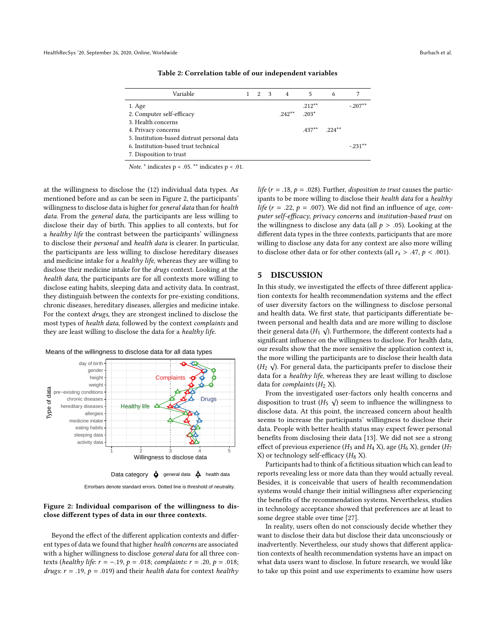<span id="page-3-0"></span>

| Variable                                    |  |  | 2 3 4     | 5             | 6 |            |
|---------------------------------------------|--|--|-----------|---------------|---|------------|
| 1. Age                                      |  |  |           | $.212***$     |   | $-.207**$  |
| 2. Computer self-efficacy                   |  |  | $.242***$ | $203*$        |   |            |
| 3. Health concerns                          |  |  |           |               |   |            |
| 4. Privacy concerns                         |  |  |           | $437**$ 224** |   |            |
| 5. Institution-based distrust personal data |  |  |           |               |   |            |
| 6. Institution-based trust technical        |  |  |           |               |   | $-.231***$ |
| 7. Disposition to trust                     |  |  |           |               |   |            |

Table 2: Correlation table of our independent variables

Note.  $*$  indicates p < .05.  $**$  indicates p < .01.

at the willingness to disclose the (12) individual data types. As mentioned before and as can be seen in Figure [2,](#page-3-1) the participants' willingness to disclose data is higher for general data than for health data. From the general data, the participants are less willing to disclose their day of birth. This applies to all contexts, but for a healthy life the contrast between the participants' willingness to disclose their personal and health data is clearer. In particular, the participants are less willing to disclose hereditary diseases and medicine intake for a healthy life, whereas they are willing to disclose their medicine intake for the drugs context. Looking at the health data, the participants are for all contexts more willing to disclose eating habits, sleeping data and activity data. In contrast, they distinguish between the contexts for pre-existing conditions, chronic diseases, hereditary diseases, allergies and medicine intake. For the context drugs, they are strongest inclined to disclose the most types of health data, followed by the context complaints and they are least willing to disclose the data for a healthy life.



<span id="page-3-1"></span>Means of the willingness to disclose data for all data types

Errorbars denote standard errors. Dotted line is threshold of neutrality.

#### Figure 2: Individual comparison of the willingness to disclose different types of data in our three contexts.

Beyond the effect of the different application contexts and different types of data we found that higher health concerns are associated with a higher willingness to disclose general data for all three contexts (healthy life:  $r = −.19$ ,  $p = .018$ ; complaints:  $r = .20$ ,  $p = .018$ ; drugs:  $r = .19$ ,  $p = .019$ ) and their *health data* for context *healthy* 

life ( $r = .18$ ,  $p = .028$ ). Further, *disposition to trust* causes the participants to be more willing to disclose their health data for a healthy life ( $r = .22$ ,  $p = .007$ ). We did not find an influence of age, computer self-efficacy, privacy concerns and institution-based trust on the willingness to disclose any data (all  $p > .05$ ). Looking at the different data types in the three contexts, participants that are more willing to disclose any data for any context are also more willing to disclose other data or for other contexts (all  $r_s > .47, p < .001$ ).

#### 5 DISCUSSION

In this study, we investigated the effects of three different application contexts for health recommendation systems and the effect of user diversity factors on the willingness to disclose personal and health data. We first state, that participants differentiate between personal and health data and are more willing to disclose √ their general data ( $H_1 \sqrt{ }$ ). Furthermore, the different contexts had a significant influence on the willingness to disclose. For health data, our results show that the more sensitive the application context is, the more willing the participants are to disclose their health data ( $H_2$   $\sqrt{ }$ ). For general data, the participants prefer to disclose their data for a healthy life, whereas they are least willing to disclose data for *complaints*  $(H_2 X)$ .

From the investigated user-factors only health concerns and disposition to trust  $(H_5 \ \sqrt{})$  seem to influence the willingness to disclose data. At this point, the increased concern about health seems to increase the participants' willingness to disclose their data. People with better health status may expect fewer personal benefits from disclosing their data [\[13\]](#page-4-17). We did not see a strong effect of previous experience ( $H_3$  and  $H_4$  X), age ( $H_6$  X), gender ( $H_7$ X) or technology self-efficacy  $(H_8 X)$ .

Participants had to think of a fictitious situation which can lead to reports revealing less or more data than they would actually reveal. Besides, it is conceivable that users of health recommendation systems would change their initial willingness after experiencing the benefits of the recommendation systems. Nevertheless, studies in technology acceptance showed that preferences are at least to some degree stable over time [\[27\]](#page-4-2).

In reality, users often do not consciously decide whether they want to disclose their data but disclose their data unconsciously or inadvertently. Nevertheless, our study shows that different application contexts of health recommendation systems have an impact on what data users want to disclose. In future research, we would like to take up this point and use experiments to examine how users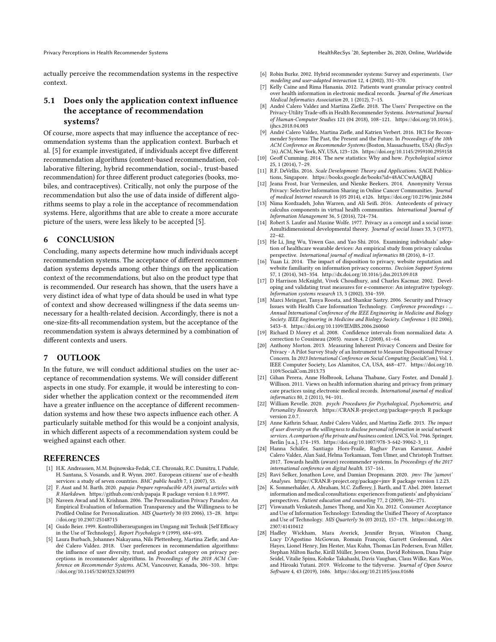actually perceive the recommendation systems in the respective context.

# 5.1 Does only the application context influence the acceptance of recommendation systems?

Of course, more aspects that may influence the acceptance of recommendation systems than the application context. Burbach et al. [\[5\]](#page-4-18) for example investigated, if individuals accept five different recommendation algorithms (content-based recommendation, collaborative filtering, hybrid recommendation, social-, trust-based recommendation) for three different product categories (books, mobiles, and contraceptives). Critically, not only the purpose of the recommendation but also the use of data inside of different algorithms seems to play a role in the acceptance of recommendation systems. Here, algorithms that are able to create a more accurate picture of the users, were less likely to be accepted [\[5\]](#page-4-18).

## 6 CONCLUSION

Concluding, many aspects determine how much individuals accept recommendation systems. The acceptance of different recommendation systems depends among other things on the application context of the recommendations, but also on the product type that is recommended. Our research has shown, that the users have a very distinct idea of what type of data should be used in what type of context and show decreased willingness if the data seems unnecessary for a health-related decision. Accordingly, there is not a one-size-fits-all recommendation system, but the acceptance of the recommendation system is always determined by a combination of different contexts and users.

## 7 OUTLOOK

In the future, we will conduct additional studies on the user acceptance of recommendation systems. We will consider different aspects in one study. For example, it would be interesting to consider whether the application context or the recommended item have a greater influence on the acceptance of different recommendation systems and how these two aspects influence each other. A particularly suitable method for this would be a conjoint analysis, in which different aspects of a recommendation system could be weighed against each other.

#### REFERENCES

- [1] H.K. Andreassen, M.M. Bujnowska-Fedak, C.E. Chronaki, R.C. Dumitru, I. Pudule, H. Santana, S. Vosands, and R. Wynn. 2007. European citizens' use of e-health services: a study of seven countries. BMC public health 7, 1 (2007), 53.
- <span id="page-4-13"></span>[2] F. Aust and M. Barth. 2020. papaja: Prepare reproducible APA journal articles with R Markdown.<https://github.com/crsh/papaja> R package version 0.1.0.9997.
- <span id="page-4-0"></span>[3] Naveen Awad and M. Krishnan. 2006. The Personalization Privacy Paradox: An Empirical Evaluation of Information Transparency and the Willingness to be Profiled Online for Personalization. MIS Quarterly 30 (03 2006), 13-28. [https:](https://doi.org/10.2307/25148715) [//doi.org/10.2307/25148715](https://doi.org/10.2307/25148715)
- <span id="page-4-9"></span>[4] Guido Beier. 1999. Kontrollüberzeugungen im Umgang mit Technik [Self Efficacy in the Use of Technology]. Report Psychologie 9 (1999), 684–693.
- <span id="page-4-18"></span>[5] Laura Burbach, Johannes Nakayama, Nils Plettenberg, Martina Ziefle, and André Calero Valdez. 2018. User preferences in recommendation algorithms: the influence of user diversity, trust, and product category on privacy perceptions in recommender algorithms. In Proceedings of the 2018 ACM Conference on Recommender Systems. ACM, Vancouver, Kanada, 306–310. [https:](https://doi.org/10.1145/3240323.3240393) [//doi.org/10.1145/3240323.3240393](https://doi.org/10.1145/3240323.3240393)
- [6] Robin Burke. 2002. Hybrid recommender systems: Survey and experiments. User modeling and user-adapted interaction 12, 4 (2002), 331–370.
- [7] Kelly Caine and Rima Hanania. 2012. Patients want granular privacy control over health information in electronic medical records. Journal of the American Medical Informatics Association 20, 1 (2012), 7–15.
- [8] André Calero Valdez and Martina Ziefle. 2018. The Users' Perspective on the Privacy-Utility Trade-offs in Health Recommender Systems. International Journal of Human-Computer Studies 121 (04 2018), 108–121. [https://doi.org/10.1016/j.](https://doi.org/10.1016/j.ijhcs.2018.04.003) [ijhcs.2018.04.003](https://doi.org/10.1016/j.ijhcs.2018.04.003)
- [9] André Calero Valdez, Martina Ziefle, and Katrien Verbert. 2016. HCI for Recommender Systems: The Past, the Present and the Future. In Proceedings of the 10th ACM Conference on Recommender Systems (Boston, Massachusetts, USA) (RecSys '16). ACM, New York, NY, USA, 123–126.<https://doi.org/10.1145/2959100.2959158>
- <span id="page-4-12"></span>[10] Geoff Cumming. 2014. The new statistics: Why and how. Psychological science 25, 1 (2014), 7–29.
- <span id="page-4-10"></span>[11] R.F. DeVellis. 2016. Scale Development: Theory and Applications. SAGE Publications, Singapore.<https://books.google.de/books?id=48ACCwAAQBAJ>
- <span id="page-4-1"></span>[12] Jeana Frost, Ivar Vermeulen, and Nienke Beekers. 2014. Anonymity Versus Privacy: Selective Information Sharing in Online Cancer Communities. Journal of medical Internet research 16 (05 2014), e126.<https://doi.org/10.2196/jmir.2684>
- <span id="page-4-17"></span>[13] Nima Kordzadeh, John Warren, and Ali Seifi. 2016. Antecedents of privacy calculus components in virtual health communities. International Journal of Information Management 36, 5 (2016), 724–734.
- [14] Robert S. Laufer and Maxine Wolfe. 1977. Privacy as a concept and a social issue: Amultidimensional developmental theory. Journal of social Issues 33, 3 (1977), 22–42.
- <span id="page-4-7"></span>[15] He Li, Jing Wu, Yiwen Gao, and Yao Shi. 2016. Examining individuals' adoption of healthcare wearable devices: An empirical study from privacy calculus perspective. International journal of medical informatics 88 (2016), 8–17.
- <span id="page-4-5"></span>[16] Yuan Li. 2014. The impact of disposition to privacy, website reputation and website familiarity on information privacy concerns. Decision Support Systems 57, 1 (2014), 343–354.<http://dx.doi.org/10.1016/j.dss.2013.09.018>
- <span id="page-4-4"></span>[17] D Harrison McKnight, Vivek Choudhury, and Charles Kacmar. 2002. Developing and validating trust measures for e-commerce: An integrative typology. Information systems research 13, 3 (2002), 334–359.
- [18] Marci Meingast, Tanya Roosta, and Shankar Sastry. 2006. Security and Privacy Issues with Health Care Information Technology. Conference proceedings : ... Annual International Conference of the IEEE Engineering in Medicine and Biology Society. IEEE Engineering in Medicine and Biology Society. Conference 1 (02 2006), 5453–8.<https://doi.org/10.1109/IEMBS.2006.260060>
- <span id="page-4-11"></span>[19] Richard D Morey et al. 2008. Confidence intervals from normalized data: A correction to Cousineau (2005). reason 4, 2 (2008), 61–64.
- <span id="page-4-6"></span>[20] Anthony Morton. 2013. Measuring Inherent Privacy Concern and Desire for Privacy - A Pilot Survey Study of an Instrument to Measure Dispositional Privacy Concern. In 2013 International Conference on Social Computing (SocialCom), Vol. 1. IEEE Computer Society, Los Alamitos, CA, USA, 468–477. [https://doi.org/10.](https://doi.org/10.1109/SocialCom.2013.73) [1109/SocialCom.2013.73](https://doi.org/10.1109/SocialCom.2013.73)
- <span id="page-4-8"></span>[21] Gihan Perera, Anne Holbrook, Lehana Thabane, Gary Foster, and Donald J. Willison. 2011. Views on health information sharing and privacy from primary care practices using electronic medical records. International journal of medical informatics 80, 2 (2011), 94–101.
- <span id="page-4-14"></span>[22] William Revelle. 2020. psych: Procedures for Psychological, Psychometric, and Personality Research.<https://CRAN.R-project.org/package=psych> R package version 2.0.7.
- <span id="page-4-3"></span>[23] Anne Kathrin Schaar, André Calero Valdez, and Martina Ziefle. 2013. The impact of user diversity on the willingness to disclose personal information in social network services. A comparison of the private and business context. LNCS, Vol. 7946. Springer, Berlin [u.a.], 174–193. [https://doi.org/10.1007/978-3-642-39062-3\\_11](https://doi.org/10.1007/978-3-642-39062-3_11)
- [24] Hanna Schäfer, Santiago Hors-Fraile, Raghav Pavan Karumur, André Calero Valdez, Alan Said, Helma Torkamaan, Tom Ulmer, and Christoph Trattner. 2017. Towards health (aware) recommender systems. In Proceedings of the 2017 international conference on digital health. 157–161.
- <span id="page-4-15"></span>[25] Ravi Selker, Jonathon Love, and Damian Dropmann. 2020. jmv: The 'jamovi' Analyses.<https://CRAN.R-project.org/package=jmv> R package version 1.2.23.
- [26] K. Sommerhalder, A. Abraham, M.C. Zufferey, J. Barth, and T. Abel. 2009. Internet information and medical consultations: experiences from patients' and physicians' perspectives. Patient education and counseling 77, 2 (2009), 266–271.
- <span id="page-4-2"></span>[27] Viswanath Venkatesh, James Thong, and Xin Xu. 2012. Consumer Acceptance and Use of Information Technology: Extending the Unified Theory of Acceptance and Use of Technology. MIS Quarterly 36 (03 2012), 157–178. [https://doi.org/10.](https://doi.org/10.2307/41410412) [2307/41410412](https://doi.org/10.2307/41410412)
- <span id="page-4-16"></span>[28] Hadley Wickham, Mara Averick, Jennifer Bryan, Winston Chang, Lucy D'Agostino McGowan, Romain François, Garrett Grolemund, Alex Hayes, Lionel Henry, Jim Hester, Max Kuhn, Thomas Lin Pedersen, Evan Miller, Stephan Milton Bache, Kirill Müller, Jeroen Ooms, David Robinson, Dana Paige Seidel, Vitalie Spinu, Kohske Takahashi, Davis Vaughan, Claus Wilke, Kara Woo, and Hiroaki Yutani. 2019. Welcome to the tidyverse. Journal of Open Source Software 4, 43 (2019), 1686.<https://doi.org/10.21105/joss.01686>